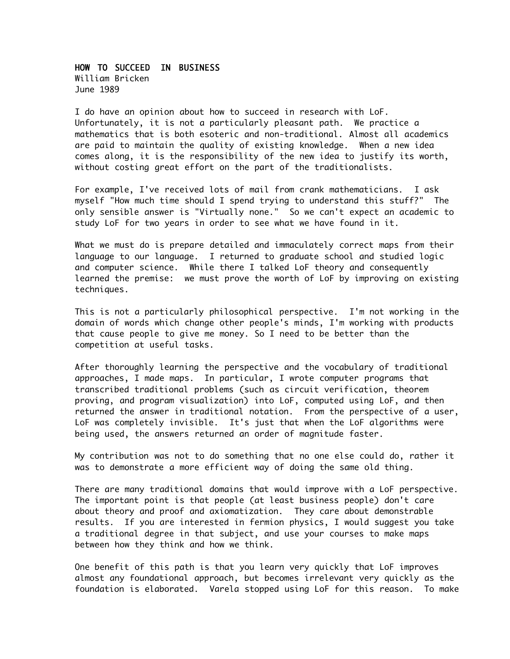## HOW TO SUCCEED IN BUSINESS William Bricken

June 1989

I do have an opinion about how to succeed in research with LoF. Unfortunately, it is not a particularly pleasant path. We practice a mathematics that is both esoteric and non-traditional. Almost all academics are paid to maintain the quality of existing knowledge. When a new idea comes along, it is the responsibility of the new idea to justify its worth, without costing great effort on the part of the traditionalists.

For example, I've received lots of mail from crank mathematicians. I ask myself "How much time should I spend trying to understand this stuff?" The only sensible answer is "Virtually none." So we can't expect an academic to study LoF for two years in order to see what we have found in it.

What we must do is prepare detailed and immaculately correct maps from their language to our language. I returned to graduate school and studied logic and computer science. While there I talked LoF theory and consequently learned the premise: we must prove the worth of LoF by improving on existing techniques.

This is not a particularly philosophical perspective. I'm not working in the domain of words which change other people's minds, I'm working with products that cause people to give me money. So I need to be better than the competition at useful tasks.

After thoroughly learning the perspective and the vocabulary of traditional approaches, I made maps. In particular, I wrote computer programs that transcribed traditional problems (such as circuit verification, theorem proving, and program visualization) into LoF, computed using LoF, and then returned the answer in traditional notation. From the perspective of a user, LoF was completely invisible. It's just that when the LoF algorithms were being used, the answers returned an order of magnitude faster.

My contribution was not to do something that no one else could do, rather it was to demonstrate a more efficient way of doing the same old thing.

There are many traditional domains that would improve with a LoF perspective. The important point is that people (at least business people) don't care about theory and proof and axiomatization. They care about demonstrable results. If you are interested in fermion physics, I would suggest you take a traditional degree in that subject, and use your courses to make maps between how they think and how we think.

One benefit of this path is that you learn very quickly that LoF improves almost any foundational approach, but becomes irrelevant very quickly as the foundation is elaborated. Varela stopped using LoF for this reason. To make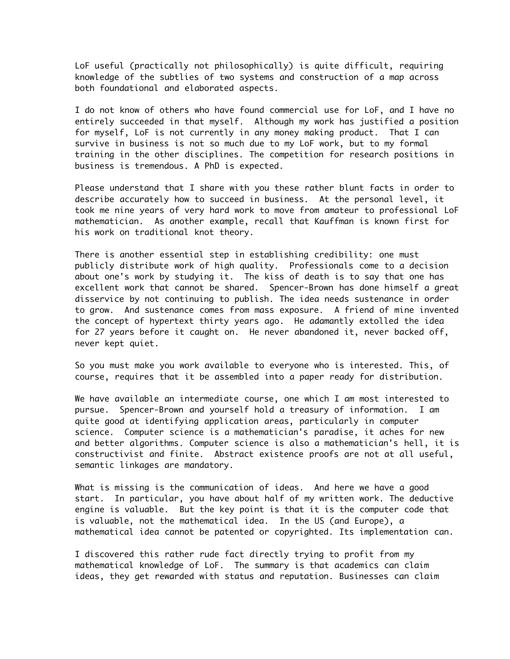LoF useful (practically not philosophically) is quite difficult, requiring knowledge of the subtlies of two systems and construction of a map across both foundational and elaborated aspects.

I do not know of others who have found commercial use for LoF, and I have no entirely succeeded in that myself. Although my work has justified a position for myself, LoF is not currently in any money making product. That I can survive in business is not so much due to my LoF work, but to my formal training in the other disciplines. The competition for research positions in business is tremendous. A PhD is expected.

Please understand that I share with you these rather blunt facts in order to describe accurately how to succeed in business. At the personal level, it took me nine years of very hard work to move from amateur to professional LoF mathematician. As another example, recall that Kauffman is known first for his work on traditional knot theory.

There is another essential step in establishing credibility: one must publicly distribute work of high quality. Professionals come to a decision about one's work by studying it. The kiss of death is to say that one has excellent work that cannot be shared. Spencer-Brown has done himself a great disservice by not continuing to publish. The idea needs sustenance in order to grow. And sustenance comes from mass exposure. A friend of mine invented the concept of hypertext thirty years ago. He adamantly extolled the idea for 27 years before it caught on. He never abandoned it, never backed off, never kept quiet.

So you must make you work available to everyone who is interested. This, of course, requires that it be assembled into a paper ready for distribution.

We have available an intermediate course, one which I am most interested to pursue. Spencer-Brown and yourself hold a treasury of information. I am quite good at identifying application areas, particularly in computer science. Computer science is a mathematician's paradise, it aches for new and better algorithms. Computer science is also a mathematician's hell, it is constructivist and finite. Abstract existence proofs are not at all useful, semantic linkages are mandatory.

What is missing is the communication of ideas. And here we have a good start. In particular, you have about half of my written work. The deductive engine is valuable. But the key point is that it is the computer code that is valuable, not the mathematical idea. In the US (and Europe), a mathematical idea cannot be patented or copyrighted. Its implementation can.

I discovered this rather rude fact directly trying to profit from my mathematical knowledge of LoF. The summary is that academics can claim ideas, they get rewarded with status and reputation. Businesses can claim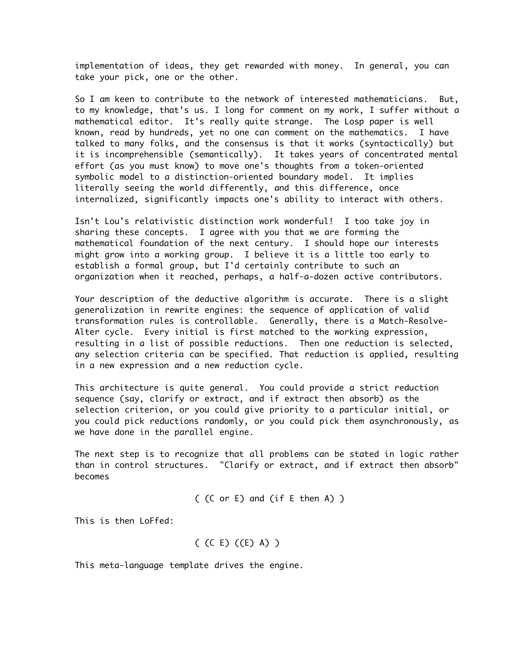implementation of ideas, they get rewarded with money. In general, you can take your pick, one or the other.

So I am keen to contribute to the network of interested mathematicians. But, to my knowledge, that's us. I long for comment on my work, I suffer without a mathematical editor. It's really quite strange. The Losp paper is well known, read by hundreds, yet no one can comment on the mathematics. I have talked to many folks, and the consensus is that it works (syntactically) but it is incomprehensible (semantically). It takes years of concentrated mental effort (as you must know) to move one's thoughts from a token-oriented symbolic model to a distinction-oriented boundary model. It implies literally seeing the world differently, and this difference, once internalized, significantly impacts one's ability to interact with others.

Isn't Lou's relativistic distinction work wonderful! I too take joy in sharing these concepts. I agree with you that we are forming the mathematical foundation of the next century. I should hope our interests might grow into a working group. I believe it is a little too early to establish a formal group, but I'd certainly contribute to such an organization when it reached, perhaps, a half-a-dozen active contributors.

Your description of the deductive algorithm is accurate. There is a slight generalization in rewrite engines: the sequence of application of valid transformation rules is controllable. Generally, there is a Match-Resolve-Alter cycle. Every initial is first matched to the working expression, resulting in a list of possible reductions. Then one reduction is selected, any selection criteria can be specified. That reduction is applied, resulting in a new expression and a new reduction cycle.

This architecture is quite general. You could provide a strict reduction sequence (say, clarify or extract, and if extract then absorb) as the selection criterion, or you could give priority to a particular initial, or you could pick reductions randomly, or you could pick them asynchronously, as we have done in the parallel engine.

The next step is to recognize that all problems can be stated in logic rather than in control structures. "Clarify or extract, and if extract then absorb" becomes

( (C or E) and (if E then A) )

This is then LoFfed:

( (C E) ((E) A) )

This meta-language template drives the engine.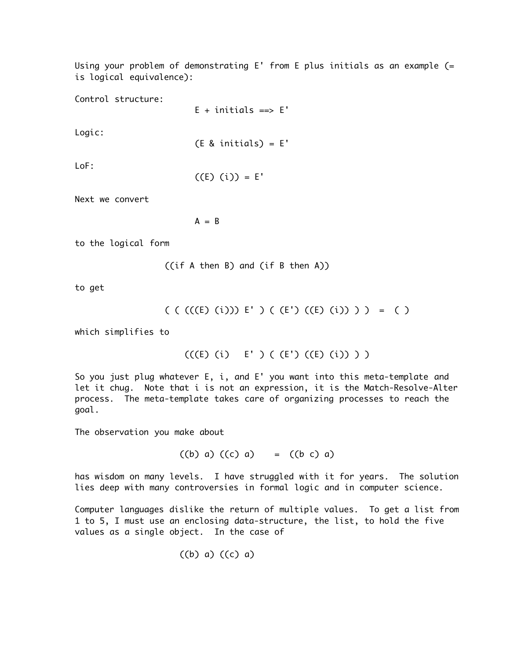Using your problem of demonstrating E' from E plus initials as an example (= is logical equivalence):

Control structure:

 $E + \text{initials} \implies E'$ 

Logic:

(E & initials) = E'

LoF:

 $((E) (i)) = E'$ 

Next we convert

 $A = B$ 

to the logical form

((if A then B) and (if B then A))

to get

 $( ( ( ((E) (i)) ) E' ) ( (E') (E) (i) ) ) = ( )$ 

which simplifies to

(((E) (i) E' ) ( (E') ((E) (i)) ) )

So you just plug whatever E, i, and E' you want into this meta-template and let it chug. Note that i is not an expression, it is the Match-Resolve-Alter process. The meta-template takes care of organizing processes to reach the goal.

The observation you make about

 $((b) a) ((c) a) = ((b c) a)$ 

has wisdom on many levels. I have struggled with it for years. The solution lies deep with many controversies in formal logic and in computer science.

Computer languages dislike the return of multiple values. To get a list from 1 to 5, I must use an enclosing data-structure, the list, to hold the five values as a single object. In the case of

 $((b) a) ((c) a)$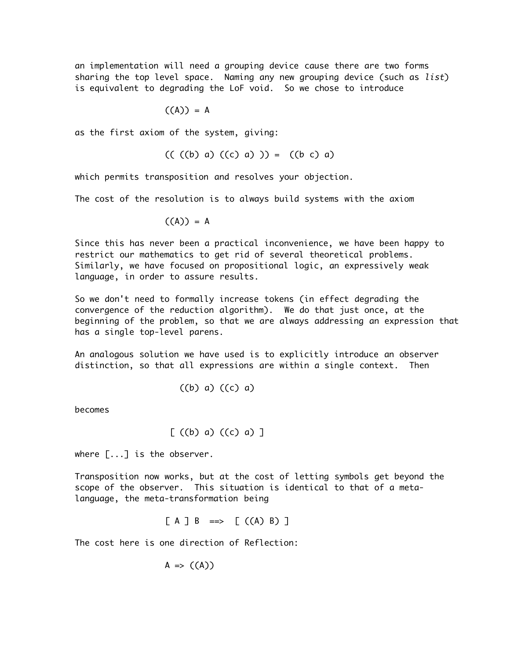an implementation will need a grouping device cause there are two forms sharing the top level space. Naming any new grouping device (such as *list*) is equivalent to degrading the LoF void. So we chose to introduce

$$
((A)) = A
$$

as the first axiom of the system, giving:

$$
((((b) a)((c) a))) = ((b c) a)
$$

which permits transposition and resolves your objection.

The cost of the resolution is to always build systems with the axiom

$$
((A)) = A
$$

Since this has never been a practical inconvenience, we have been happy to restrict our mathematics to get rid of several theoretical problems. Similarly, we have focused on propositional logic, an expressively weak language, in order to assure results.

So we don't need to formally increase tokens (in effect degrading the convergence of the reduction algorithm). We do that just once, at the beginning of the problem, so that we are always addressing an expression that has a single top-level parens.

An analogous solution we have used is to explicitly introduce an observer distinction, so that all expressions are within a single context. Then

$$
((b) a) ((c) a)
$$

becomes

[ ((b) a) ((c) a) ]

where [...] is the observer.

Transposition now works, but at the cost of letting symbols get beyond the scope of the observer. This situation is identical to that of a metalanguage, the meta-transformation being

$$
[ A ] B \implies [ ((A) B ) ]
$$

The cost here is one direction of Reflection:

$$
A \Rightarrow ((A))
$$